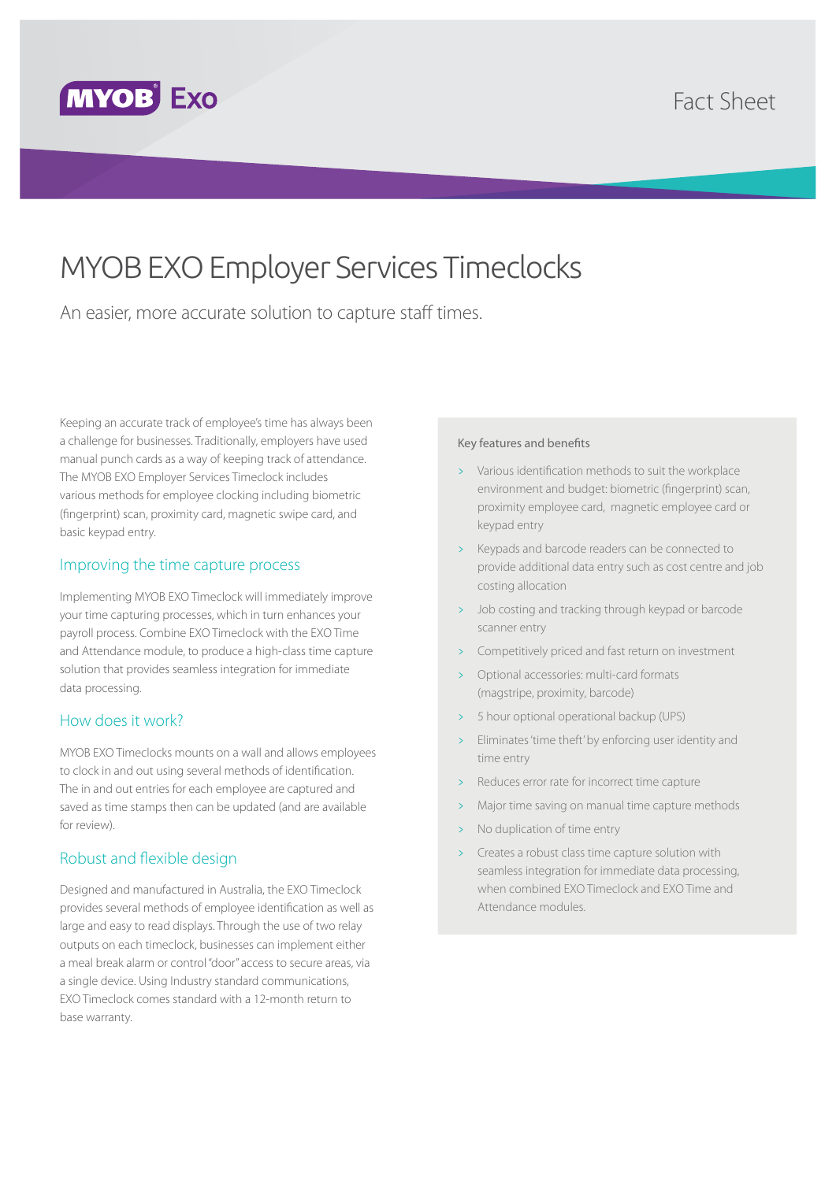

## Fact Sheet

# MYOB EXO Employer Services Timeclocks

An easier, more accurate solution to capture staff times.

Keeping an accurate track of employee's time has always been a challenge for businesses. Traditionally, employers have used manual punch cards as a way of keeping track of attendance. The MYOB EXO Employer Services Timeclock includes various methods for employee clocking including biometric (fingerprint) scan, proximity card, magnetic swipe card, and basic keypad entry.

#### Improving the time capture process

Implementing MYOB EXO Timeclock will immediately improve your time capturing processes, which in turn enhances your payroll process. Combine EXO Timeclock with the EXO Time and Attendance module, to produce a high-class time capture solution that provides seamless integration for immediate data processing.

#### How does it work?

MYOB EXO Timeclocks mounts on a wall and allows employees to clock in and out using several methods of identification. The in and out entries for each employee are captured and saved as time stamps then can be updated (and are available for review).

### Robust and flexible design

Designed and manufactured in Australia, the EXO Timeclock provides several methods of employee identification as well as large and easy to read displays. Through the use of two relay outputs on each timeclock, businesses can implement either a meal break alarm or control "door" access to secure areas, via a single device. Using Industry standard communications, EXO Timeclock comes standard with a 12-month return to base warranty.

#### Key features and benefits

- > Various identification methods to suit the workplace environment and budget: biometric (fingerprint) scan, proximity employee card, magnetic employee card or keypad entry
- Keypads and barcode readers can be connected to provide additional data entry such as cost centre and job costing allocation
- > Job costing and tracking through keypad or barcode scanner entry
- Competitively priced and fast return on investment
- > Optional accessories: multi-card formats (magstripe, proximity, barcode)
- > 5 hour optional operational backup (UPS)
- Eliminates 'time theft' by enforcing user identity and time entry
- Reduces error rate for incorrect time capture
- Major time saving on manual time capture methods
- No duplication of time entry
- > Creates a robust class time capture solution with seamless integration for immediate data processing, when combined EXO Timeclock and EXO Time and Attendance modules.